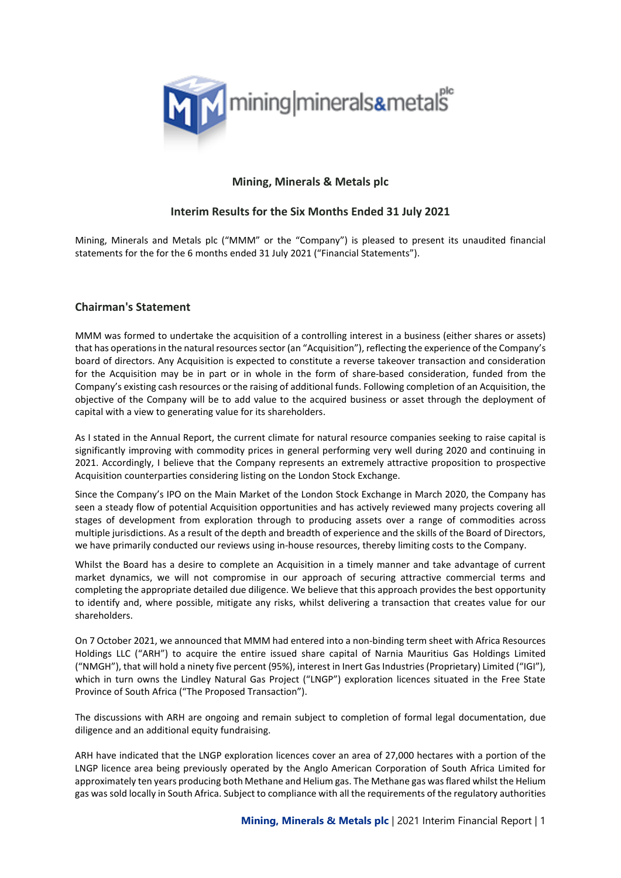

# **Mining, Minerals & Metals plc**

# **Interim Results for the Six Months Ended 31 July 2021**

Mining, Minerals and Metals plc ("MMM" or the "Company") is pleased to present its unaudited financial statements for the for the 6 months ended 31 July 2021 ("Financial Statements").

## **Chairman's Statement**

MMM was formed to undertake the acquisition of a controlling interest in a business (either shares or assets) that has operations in the natural resources sector (an "Acquisition"), reflecting the experience of the Company's board of directors. Any Acquisition is expected to constitute a reverse takeover transaction and consideration for the Acquisition may be in part or in whole in the form of share-based consideration, funded from the Company's existing cash resources or the raising of additional funds. Following completion of an Acquisition, the objective of the Company will be to add value to the acquired business or asset through the deployment of capital with a view to generating value for its shareholders.

As I stated in the Annual Report, the current climate for natural resource companies seeking to raise capital is significantly improving with commodity prices in general performing very well during 2020 and continuing in 2021. Accordingly, I believe that the Company represents an extremely attractive proposition to prospective Acquisition counterparties considering listing on the London Stock Exchange.

Since the Company's IPO on the Main Market of the London Stock Exchange in March 2020, the Company has seen a steady flow of potential Acquisition opportunities and has actively reviewed many projects covering all stages of development from exploration through to producing assets over a range of commodities across multiple jurisdictions. As a result of the depth and breadth of experience and the skills of the Board of Directors, we have primarily conducted our reviews using in-house resources, thereby limiting costs to the Company.

Whilst the Board has a desire to complete an Acquisition in a timely manner and take advantage of current market dynamics, we will not compromise in our approach of securing attractive commercial terms and completing the appropriate detailed due diligence. We believe that this approach provides the best opportunity to identify and, where possible, mitigate any risks, whilst delivering a transaction that creates value for our shareholders.

On 7 October 2021, we announced that MMM had entered into a non-binding term sheet with Africa Resources Holdings LLC ("ARH") to acquire the entire issued share capital of Narnia Mauritius Gas Holdings Limited ("NMGH"), that will hold a ninety five percent (95%), interest in Inert Gas Industries (Proprietary) Limited ("IGI"), which in turn owns the Lindley Natural Gas Project ("LNGP") exploration licences situated in the Free State Province of South Africa ("The Proposed Transaction").

The discussions with ARH are ongoing and remain subject to completion of formal legal documentation, due diligence and an additional equity fundraising.

ARH have indicated that the LNGP exploration licences cover an area of 27,000 hectares with a portion of the LNGP licence area being previously operated by the Anglo American Corporation of South Africa Limited for approximately ten years producing both Methane and Helium gas. The Methane gas was flared whilst the Helium gas was sold locally in South Africa. Subject to compliance with all the requirements of the regulatory authorities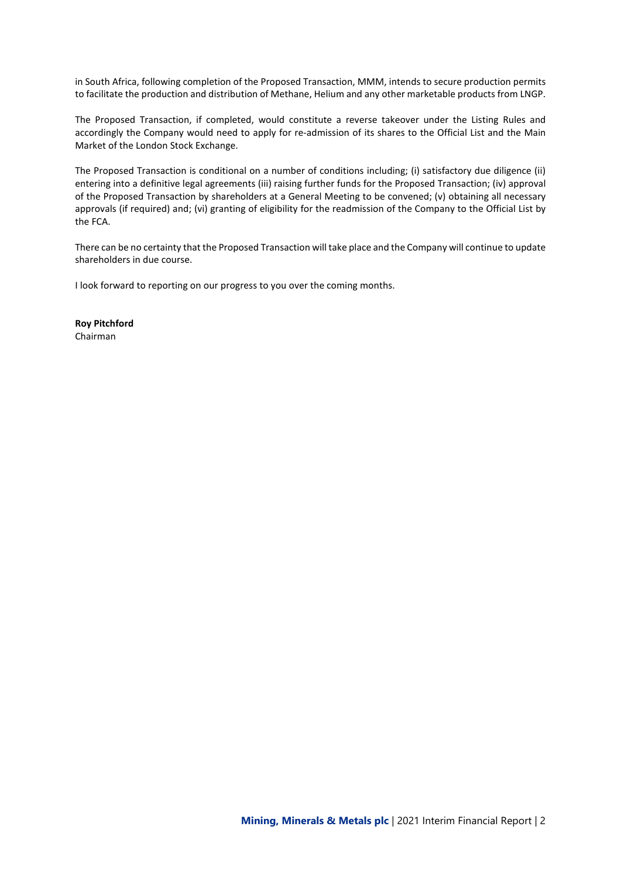in South Africa, following completion of the Proposed Transaction, MMM, intends to secure production permits to facilitate the production and distribution of Methane, Helium and any other marketable products from LNGP.

The Proposed Transaction, if completed, would constitute a reverse takeover under the Listing Rules and accordingly the Company would need to apply for re-admission of its shares to the Official List and the Main Market of the London Stock Exchange.

The Proposed Transaction is conditional on a number of conditions including; (i) satisfactory due diligence (ii) entering into a definitive legal agreements (iii) raising further funds for the Proposed Transaction; (iv) approval of the Proposed Transaction by shareholders at a General Meeting to be convened; (v) obtaining all necessary approvals (if required) and; (vi) granting of eligibility for the readmission of the Company to the Official List by the FCA.

There can be no certainty that the Proposed Transaction will take place and the Company will continue to update shareholders in due course.

I look forward to reporting on our progress to you over the coming months.

**Roy Pitchford** Chairman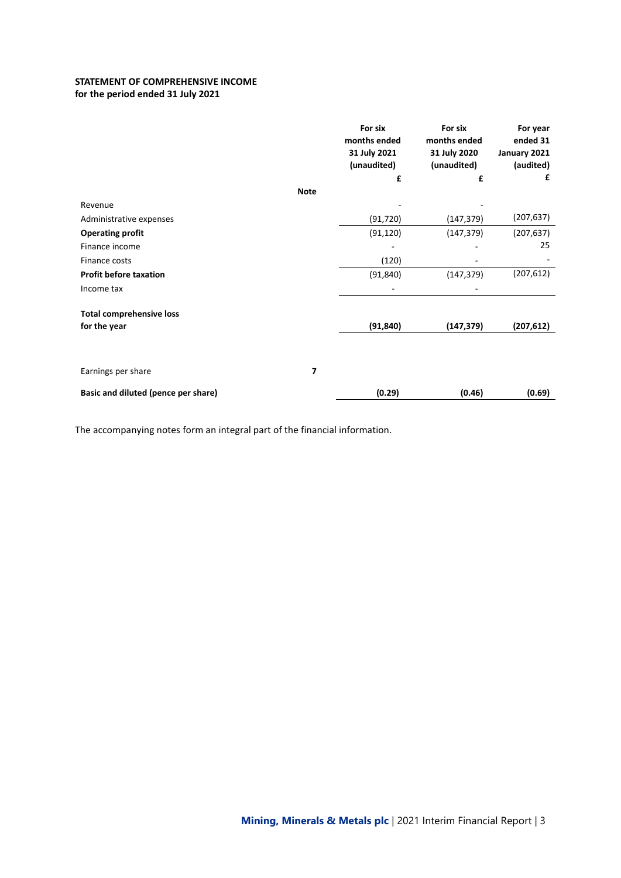## **STATEMENT OF COMPREHENSIVE INCOME for the period ended 31 July 2021**

|                                     |             | For six<br>months ended<br>31 July 2021<br>(unaudited) | For six<br>months ended<br>31 July 2020<br>(unaudited) | For year<br>ended 31<br>January 2021<br>(audited) |
|-------------------------------------|-------------|--------------------------------------------------------|--------------------------------------------------------|---------------------------------------------------|
|                                     |             | £                                                      | £                                                      | £                                                 |
|                                     | <b>Note</b> |                                                        |                                                        |                                                   |
| Revenue                             |             |                                                        |                                                        |                                                   |
| Administrative expenses             |             | (91, 720)                                              | (147, 379)                                             | (207, 637)                                        |
| <b>Operating profit</b>             |             | (91, 120)                                              | (147, 379)                                             | (207, 637)                                        |
| Finance income                      |             |                                                        |                                                        | 25                                                |
| Finance costs                       |             | (120)                                                  |                                                        |                                                   |
| <b>Profit before taxation</b>       |             | (91, 840)                                              | (147, 379)                                             | (207, 612)                                        |
| Income tax                          |             |                                                        |                                                        |                                                   |
| <b>Total comprehensive loss</b>     |             |                                                        |                                                        |                                                   |
| for the year                        |             | (91, 840)                                              | (147, 379)                                             | (207, 612)                                        |
|                                     |             |                                                        |                                                        |                                                   |
| Earnings per share                  | 7           |                                                        |                                                        |                                                   |
| Basic and diluted (pence per share) |             | (0.29)                                                 | (0.46)                                                 | (0.69)                                            |

The accompanying notes form an integral part of the financial information.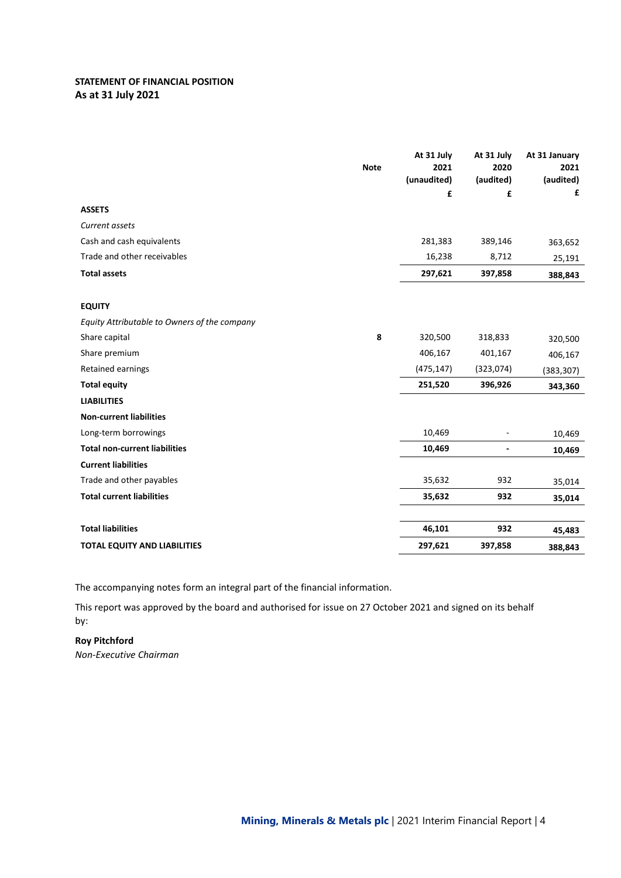## **STATEMENT OF FINANCIAL POSITION As at 31 July 2021**

|                                              | <b>Note</b> | At 31 July<br>2021 | At 31 July<br>2020 | At 31 January<br>2021 |
|----------------------------------------------|-------------|--------------------|--------------------|-----------------------|
|                                              |             | (unaudited)        | (audited)          | (audited)             |
|                                              |             | £                  | £                  | £                     |
| <b>ASSETS</b>                                |             |                    |                    |                       |
| Current assets                               |             |                    |                    |                       |
| Cash and cash equivalents                    |             | 281,383            | 389,146            | 363,652               |
| Trade and other receivables                  |             | 16,238             | 8,712              | 25,191                |
| <b>Total assets</b>                          |             | 297,621            | 397,858            | 388,843               |
| <b>EQUITY</b>                                |             |                    |                    |                       |
| Equity Attributable to Owners of the company |             |                    |                    |                       |
| Share capital                                | 8           | 320,500            | 318,833            | 320,500               |
| Share premium                                |             | 406,167            | 401,167            | 406,167               |
| Retained earnings                            |             | (475, 147)         | (323,074)          | (383, 307)            |
| <b>Total equity</b>                          |             | 251,520            | 396,926            | 343,360               |
| <b>LIABILITIES</b>                           |             |                    |                    |                       |
| <b>Non-current liabilities</b>               |             |                    |                    |                       |
| Long-term borrowings                         |             | 10,469             |                    | 10,469                |
| <b>Total non-current liabilities</b>         |             | 10,469             | $\overline{a}$     | 10,469                |
| <b>Current liabilities</b>                   |             |                    |                    |                       |
| Trade and other payables                     |             | 35,632             | 932                | 35,014                |
| <b>Total current liabilities</b>             |             | 35,632             | 932                | 35,014                |
| <b>Total liabilities</b>                     |             | 46,101             | 932                | 45,483                |
| <b>TOTAL EQUITY AND LIABILITIES</b>          |             | 297,621            | 397,858            | 388,843               |

The accompanying notes form an integral part of the financial information.

This report was approved by the board and authorised for issue on 27 October 2021 and signed on its behalf by:

**Roy Pitchford** *Non-Executive Chairman*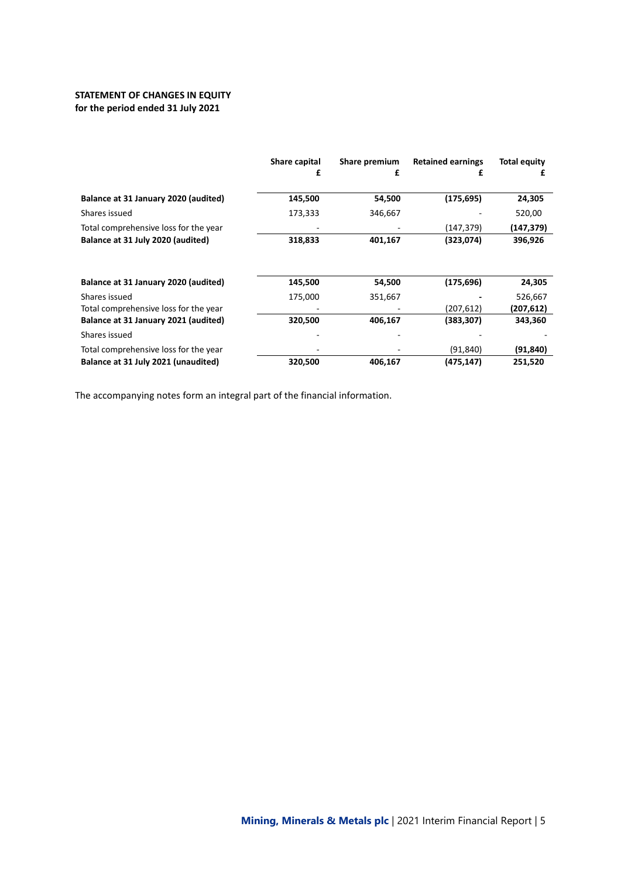## **STATEMENT OF CHANGES IN EQUITY for the period ended 31 July 2021**

|                                       | Share capital | Share premium | <b>Retained earnings</b> | <b>Total equity</b> |
|---------------------------------------|---------------|---------------|--------------------------|---------------------|
|                                       |               | £             | £                        |                     |
| Balance at 31 January 2020 (audited)  | 145,500       | 54,500        | (175, 695)               | 24,305              |
| Shares issued                         | 173,333       | 346,667       |                          | 520,00              |
| Total comprehensive loss for the year |               |               | (147, 379)               | (147,379)           |
| Balance at 31 July 2020 (audited)     | 318,833       | 401,167       | (323,074)                | 396,926             |
| Balance at 31 January 2020 (audited)  | 145,500       | 54,500        | (175, 696)               | 24,305              |
| Shares issued                         | 175,000       | 351,667       |                          | 526,667             |
| Total comprehensive loss for the year |               |               | (207, 612)               | (207, 612)          |
| Balance at 31 January 2021 (audited)  | 320,500       | 406,167       | (383, 307)               | 343,360             |
| Shares issued                         |               |               |                          |                     |
| Total comprehensive loss for the year |               |               | (91,840)                 | (91,840)            |
| Balance at 31 July 2021 (unaudited)   | 320,500       | 406,167       | (475, 147)               | 251,520             |

The accompanying notes form an integral part of the financial information.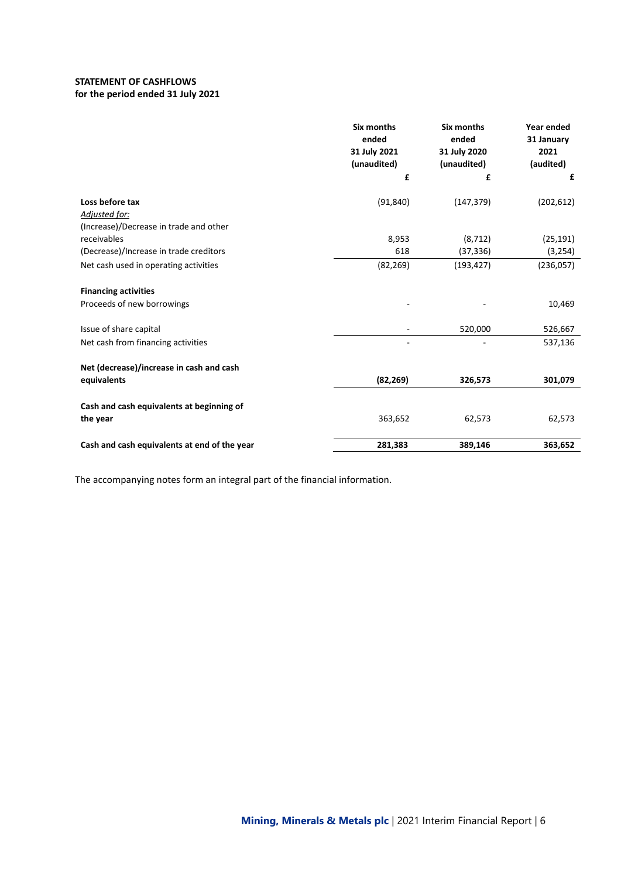## **STATEMENT OF CASHFLOWS for the period ended 31 July 2021**

|                                                       | <b>Six months</b><br>ended<br>31 July 2021<br>(unaudited)<br>£ | <b>Six months</b><br>ended<br>31 July 2020<br>(unaudited)<br>£ | Year ended<br>31 January<br>2021<br>(audited)<br>£ |
|-------------------------------------------------------|----------------------------------------------------------------|----------------------------------------------------------------|----------------------------------------------------|
|                                                       |                                                                |                                                                |                                                    |
| Loss before tax                                       | (91, 840)                                                      | (147, 379)                                                     | (202, 612)                                         |
| Adjusted for:                                         |                                                                |                                                                |                                                    |
| (Increase)/Decrease in trade and other                |                                                                |                                                                |                                                    |
| receivables                                           | 8,953                                                          | (8, 712)                                                       | (25, 191)                                          |
| (Decrease)/Increase in trade creditors                | 618                                                            | (37, 336)                                                      | (3, 254)                                           |
| Net cash used in operating activities                 | (82, 269)                                                      | (193, 427)                                                     | (236,057)                                          |
| <b>Financing activities</b>                           |                                                                |                                                                |                                                    |
| Proceeds of new borrowings                            |                                                                |                                                                | 10,469                                             |
| Issue of share capital                                |                                                                | 520,000                                                        | 526,667                                            |
| Net cash from financing activities                    |                                                                |                                                                | 537,136                                            |
| Net (decrease)/increase in cash and cash              |                                                                |                                                                |                                                    |
| equivalents                                           | (82, 269)                                                      | 326,573                                                        | 301,079                                            |
|                                                       |                                                                |                                                                |                                                    |
| Cash and cash equivalents at beginning of<br>the year | 363,652                                                        | 62,573                                                         | 62,573                                             |
|                                                       |                                                                |                                                                |                                                    |
| Cash and cash equivalents at end of the year          | 281,383                                                        | 389,146                                                        | 363,652                                            |

The accompanying notes form an integral part of the financial information.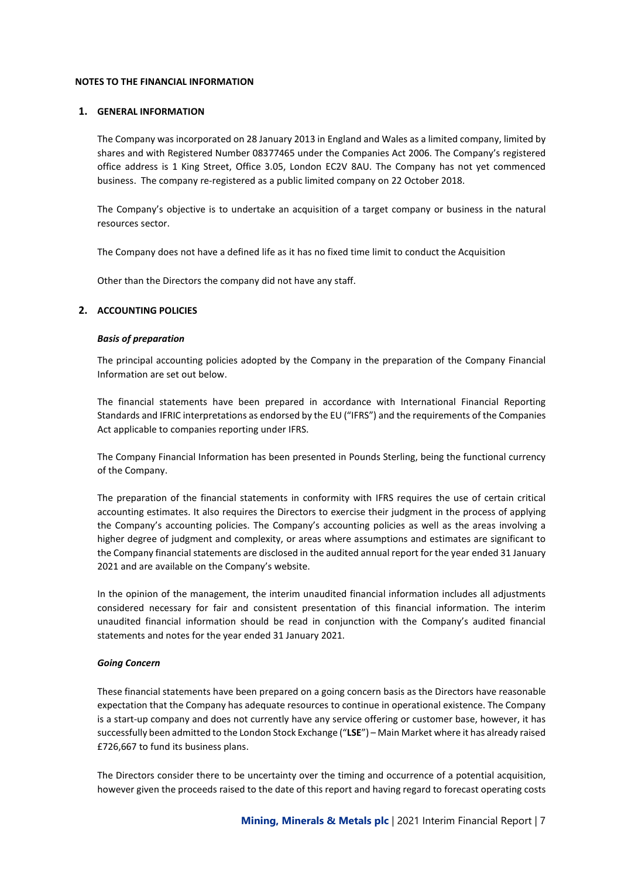## **NOTES TO THE FINANCIAL INFORMATION**

### **1. GENERAL INFORMATION**

The Company was incorporated on 28 January 2013 in England and Wales as a limited company, limited by shares and with Registered Number 08377465 under the Companies Act 2006. The Company's registered office address is 1 King Street, Office 3.05, London EC2V 8AU. The Company has not yet commenced business. The company re-registered as a public limited company on 22 October 2018.

The Company's objective is to undertake an acquisition of a target company or business in the natural resources sector.

The Company does not have a defined life as it has no fixed time limit to conduct the Acquisition

Other than the Directors the company did not have any staff.

## **2. ACCOUNTING POLICIES**

#### *Basis of preparation*

The principal accounting policies adopted by the Company in the preparation of the Company Financial Information are set out below.

The financial statements have been prepared in accordance with International Financial Reporting Standards and IFRIC interpretations as endorsed by the EU ("IFRS") and the requirements of the Companies Act applicable to companies reporting under IFRS.

The Company Financial Information has been presented in Pounds Sterling, being the functional currency of the Company.

The preparation of the financial statements in conformity with IFRS requires the use of certain critical accounting estimates. It also requires the Directors to exercise their judgment in the process of applying the Company's accounting policies. The Company's accounting policies as well as the areas involving a higher degree of judgment and complexity, or areas where assumptions and estimates are significant to the Company financial statements are disclosed in the audited annual report for the year ended 31 January 2021 and are available on the Company's website.

In the opinion of the management, the interim unaudited financial information includes all adjustments considered necessary for fair and consistent presentation of this financial information. The interim unaudited financial information should be read in conjunction with the Company's audited financial statements and notes for the year ended 31 January 2021.

#### *Going Concern*

These financial statements have been prepared on a going concern basis as the Directors have reasonable expectation that the Company has adequate resources to continue in operational existence. The Company is a start-up company and does not currently have any service offering or customer base, however, it has successfully been admitted to the London Stock Exchange ("**LSE**") – Main Market where it has already raised £726,667 to fund its business plans.

The Directors consider there to be uncertainty over the timing and occurrence of a potential acquisition, however given the proceeds raised to the date of this report and having regard to forecast operating costs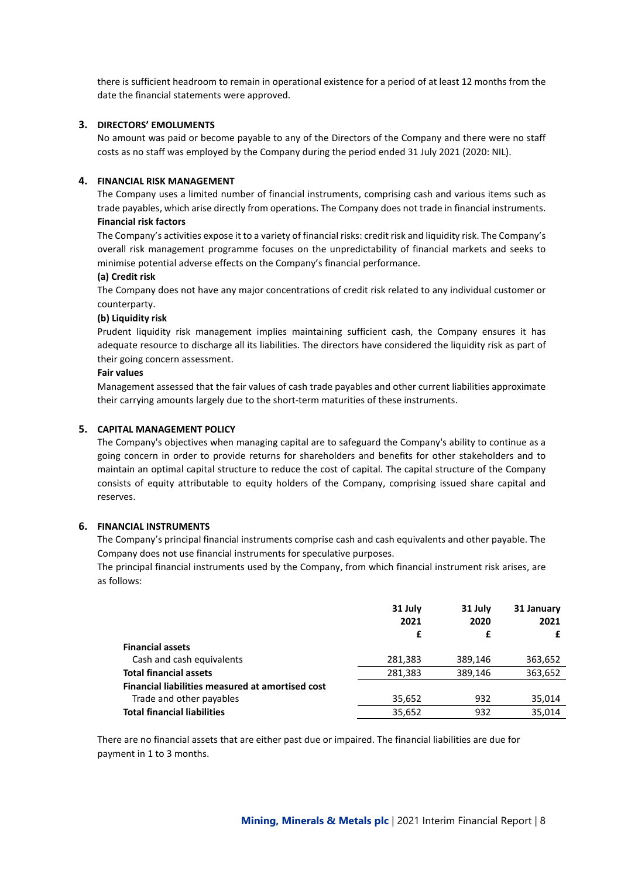there is sufficient headroom to remain in operational existence for a period of at least 12 months from the date the financial statements were approved.

## **3. DIRECTORS' EMOLUMENTS**

No amount was paid or become payable to any of the Directors of the Company and there were no staff costs as no staff was employed by the Company during the period ended 31 July 2021 (2020: NIL).

#### **4. FINANCIAL RISK MANAGEMENT**

The Company uses a limited number of financial instruments, comprising cash and various items such as trade payables, which arise directly from operations. The Company does not trade in financial instruments. **Financial risk factors**

The Company's activities expose it to a variety of financial risks: credit risk and liquidity risk. The Company's overall risk management programme focuses on the unpredictability of financial markets and seeks to minimise potential adverse effects on the Company's financial performance.

#### **(a) Credit risk**

The Company does not have any major concentrations of credit risk related to any individual customer or counterparty.

#### **(b) Liquidity risk**

Prudent liquidity risk management implies maintaining sufficient cash, the Company ensures it has adequate resource to discharge all its liabilities. The directors have considered the liquidity risk as part of their going concern assessment.

#### **Fair values**

Management assessed that the fair values of cash trade payables and other current liabilities approximate their carrying amounts largely due to the short-term maturities of these instruments.

### **5. CAPITAL MANAGEMENT POLICY**

The Company's objectives when managing capital are to safeguard the Company's ability to continue as a going concern in order to provide returns for shareholders and benefits for other stakeholders and to maintain an optimal capital structure to reduce the cost of capital. The capital structure of the Company consists of equity attributable to equity holders of the Company, comprising issued share capital and reserves.

## **6. FINANCIAL INSTRUMENTS**

The Company's principal financial instruments comprise cash and cash equivalents and other payable. The Company does not use financial instruments for speculative purposes.

The principal financial instruments used by the Company, from which financial instrument risk arises, are as follows:

|                                                  | 31 July<br>2021<br>£ | 31 July<br>2020<br>£ | 31 January<br>2021<br>£ |
|--------------------------------------------------|----------------------|----------------------|-------------------------|
| <b>Financial assets</b>                          |                      |                      |                         |
| Cash and cash equivalents                        | 281,383              | 389,146              | 363,652                 |
| <b>Total financial assets</b>                    | 281,383              | 389,146              | 363,652                 |
| Financial liabilities measured at amortised cost |                      |                      |                         |
| Trade and other payables                         | 35,652               | 932                  | 35,014                  |
| <b>Total financial liabilities</b>               | 35,652               | 932                  | 35,014                  |
|                                                  |                      |                      |                         |

There are no financial assets that are either past due or impaired. The financial liabilities are due for payment in 1 to 3 months.